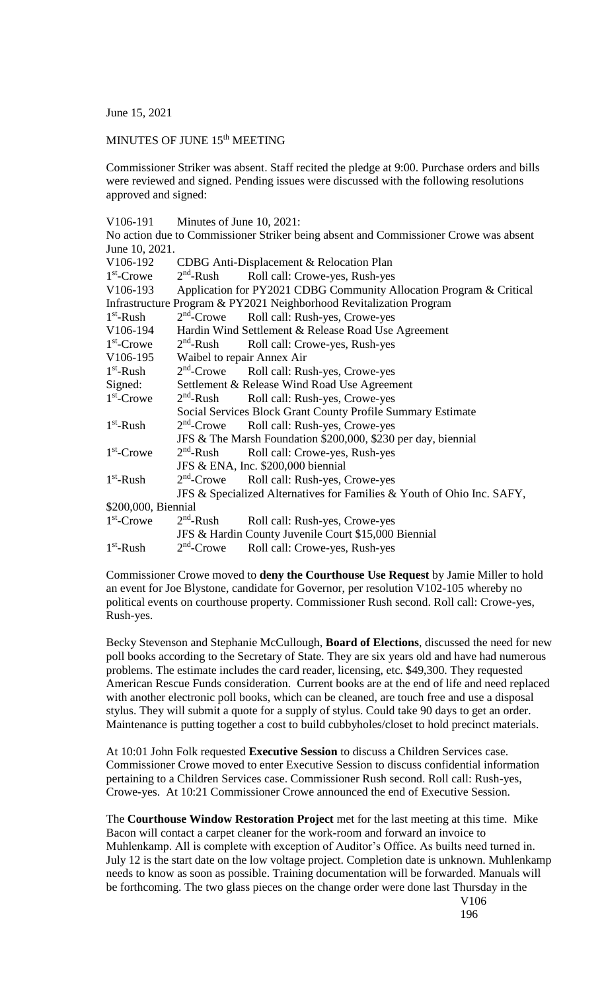June 15, 2021

## MINUTES OF JUNE 15<sup>th</sup> MEETING

Commissioner Striker was absent. Staff recited the pledge at 9:00. Purchase orders and bills were reviewed and signed. Pending issues were discussed with the following resolutions approved and signed:

| V <sub>106</sub> -191 | Minutes of June 10, 2021: |  |  |  |
|-----------------------|---------------------------|--|--|--|
|-----------------------|---------------------------|--|--|--|

|                       |                                                                        | No action due to Commissioner Striker being absent and Commissioner Crowe was absent |  |  |  |
|-----------------------|------------------------------------------------------------------------|--------------------------------------------------------------------------------------|--|--|--|
| June 10, 2021.        |                                                                        |                                                                                      |  |  |  |
| V106-192              |                                                                        | CDBG Anti-Displacement & Relocation Plan                                             |  |  |  |
| $1st$ -Crowe          |                                                                        | 2 <sup>nd</sup> -Rush Roll call: Crowe-yes, Rush-yes                                 |  |  |  |
| V <sub>106</sub> -193 | Application for PY2021 CDBG Community Allocation Program & Critical    |                                                                                      |  |  |  |
|                       |                                                                        | Infrastructure Program & PY2021 Neighborhood Revitalization Program                  |  |  |  |
| $1st$ -Rush           | $2nd$ -Crowe                                                           | Roll call: Rush-yes, Crowe-yes                                                       |  |  |  |
| V106-194              | Hardin Wind Settlement & Release Road Use Agreement                    |                                                                                      |  |  |  |
| $1st$ -Crowe          | $2nd$ -Rush                                                            | Roll call: Crowe-yes, Rush-yes                                                       |  |  |  |
| V106-195              | Waibel to repair Annex Air                                             |                                                                                      |  |  |  |
| $1st$ -Rush           |                                                                        | 2 <sup>nd</sup> -Crowe Roll call: Rush-yes, Crowe-yes                                |  |  |  |
| Signed:               | Settlement & Release Wind Road Use Agreement                           |                                                                                      |  |  |  |
| $1st$ -Crowe          | $2nd$ -Rush                                                            | Roll call: Rush-yes, Crowe-yes                                                       |  |  |  |
|                       | Social Services Block Grant County Profile Summary Estimate            |                                                                                      |  |  |  |
| $1st$ -Rush           |                                                                        | 2 <sup>nd</sup> -Crowe Roll call: Rush-yes, Crowe-yes                                |  |  |  |
|                       | JFS & The Marsh Foundation \$200,000, \$230 per day, biennial          |                                                                                      |  |  |  |
| $1st$ -Crowe          | $2nd$ -Rush                                                            | Roll call: Crowe-yes, Rush-yes                                                       |  |  |  |
|                       |                                                                        | JFS & ENA, Inc. \$200,000 biennial                                                   |  |  |  |
| $1st$ -Rush           | $2nd$ -Crowe                                                           | Roll call: Rush-yes, Crowe-yes                                                       |  |  |  |
|                       | JFS & Specialized Alternatives for Families & Youth of Ohio Inc. SAFY, |                                                                                      |  |  |  |
| \$200,000, Biennial   |                                                                        |                                                                                      |  |  |  |
| $1st$ -Crowe          | $2nd$ -Rush                                                            | Roll call: Rush-yes, Crowe-yes                                                       |  |  |  |
|                       |                                                                        | JFS & Hardin County Juvenile Court \$15,000 Biennial                                 |  |  |  |
| $1st$ -Rush           | $2nd$ -Crowe                                                           | Roll call: Crowe-yes, Rush-yes                                                       |  |  |  |
|                       |                                                                        |                                                                                      |  |  |  |

Commissioner Crowe moved to **deny the Courthouse Use Request** by Jamie Miller to hold an event for Joe Blystone, candidate for Governor, per resolution V102-105 whereby no political events on courthouse property. Commissioner Rush second. Roll call: Crowe-yes, Rush-yes.

Becky Stevenson and Stephanie McCullough, **Board of Elections**, discussed the need for new poll books according to the Secretary of State. They are six years old and have had numerous problems. The estimate includes the card reader, licensing, etc. \$49,300. They requested American Rescue Funds consideration. Current books are at the end of life and need replaced with another electronic poll books, which can be cleaned, are touch free and use a disposal stylus. They will submit a quote for a supply of stylus. Could take 90 days to get an order. Maintenance is putting together a cost to build cubbyholes/closet to hold precinct materials.

At 10:01 John Folk requested **Executive Session** to discuss a Children Services case. Commissioner Crowe moved to enter Executive Session to discuss confidential information pertaining to a Children Services case. Commissioner Rush second. Roll call: Rush-yes, Crowe-yes. At 10:21 Commissioner Crowe announced the end of Executive Session.

The **Courthouse Window Restoration Project** met for the last meeting at this time. Mike Bacon will contact a carpet cleaner for the work-room and forward an invoice to Muhlenkamp. All is complete with exception of Auditor's Office. As builts need turned in. July 12 is the start date on the low voltage project. Completion date is unknown. Muhlenkamp needs to know as soon as possible. Training documentation will be forwarded. Manuals will be forthcoming. The two glass pieces on the change order were done last Thursday in the